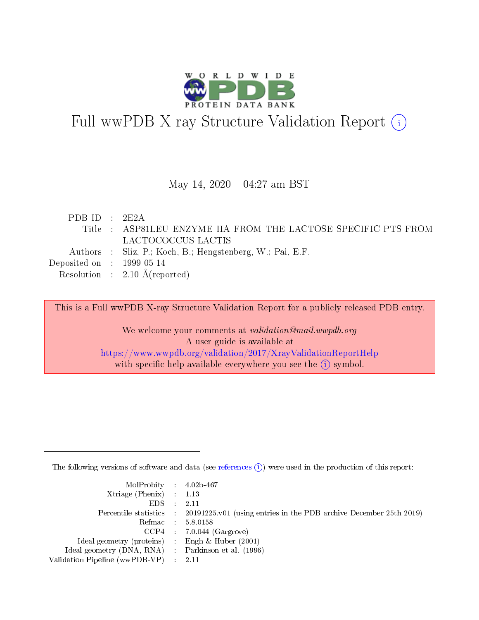

# Full wwPDB X-ray Structure Validation Report (i)

#### May 14,  $2020 - 04:27$  am BST

| PDB ID : $2E2A$                      |                                                                |
|--------------------------------------|----------------------------------------------------------------|
|                                      | Title : ASP81LEU ENZYME IIA FROM THE LACTOSE SPECIFIC PTS FROM |
|                                      | LACTOCOCCUS LACTIS                                             |
|                                      | Authors : Sliz, P.; Koch, B.; Hengstenberg, W.; Pai, E.F.      |
| Deposited on $\therefore$ 1999-05-14 |                                                                |
|                                      | Resolution : $2.10 \text{ Å}$ (reported)                       |

This is a Full wwPDB X-ray Structure Validation Report for a publicly released PDB entry.

We welcome your comments at validation@mail.wwpdb.org A user guide is available at <https://www.wwpdb.org/validation/2017/XrayValidationReportHelp> with specific help available everywhere you see the  $(i)$  symbol.

The following versions of software and data (see [references](https://www.wwpdb.org/validation/2017/XrayValidationReportHelp#references)  $(i)$ ) were used in the production of this report:

| $MolProbability$ 4.02b-467                          |                                                                                            |
|-----------------------------------------------------|--------------------------------------------------------------------------------------------|
| Xtriage (Phenix) $: 1.13$                           |                                                                                            |
| $EDS$ :                                             | -2.11                                                                                      |
|                                                     | Percentile statistics : 20191225.v01 (using entries in the PDB archive December 25th 2019) |
|                                                     | Refmac : 5.8.0158                                                                          |
|                                                     | $CCP4$ : 7.0.044 (Gargrove)                                                                |
| Ideal geometry (proteins) : Engh $\&$ Huber (2001)  |                                                                                            |
| Ideal geometry (DNA, RNA) : Parkinson et al. (1996) |                                                                                            |
| Validation Pipeline (wwPDB-VP)                      | -2.11                                                                                      |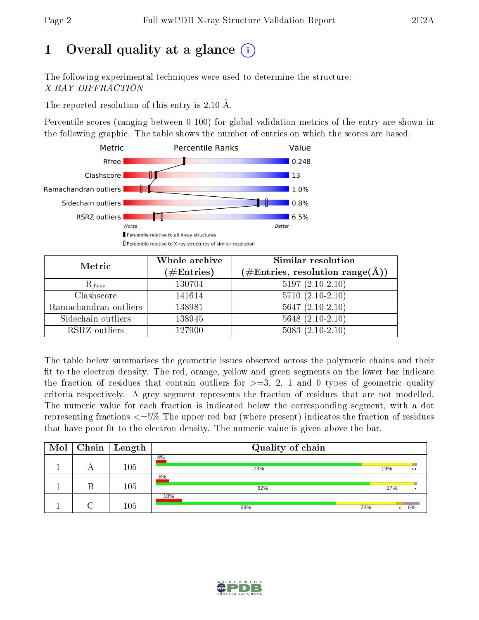# 1 [O](https://www.wwpdb.org/validation/2017/XrayValidationReportHelp#overall_quality)verall quality at a glance  $(i)$

The following experimental techniques were used to determine the structure: X-RAY DIFFRACTION

The reported resolution of this entry is 2.10 Å.

Percentile scores (ranging between 0-100) for global validation metrics of the entry are shown in the following graphic. The table shows the number of entries on which the scores are based.



| Metric                | Whole archive<br>$(\#\text{Entries})$ | Similar resolution<br>$(\#\text{Entries}, \text{resolution range}(\text{\AA}))$ |
|-----------------------|---------------------------------------|---------------------------------------------------------------------------------|
| $R_{free}$            | 130704                                | $5197(2.10-2.10)$                                                               |
| Clashscore            | 141614                                | $5710(2.10-2.10)$                                                               |
| Ramachandran outliers | 138981                                | $5647 (2.10-2.10)$                                                              |
| Sidechain outliers    | 138945                                | $5648(2.10-2.10)$                                                               |
| RSRZ outliers         | 127900                                | $5083(2.10-2.10)$                                                               |

The table below summarises the geometric issues observed across the polymeric chains and their fit to the electron density. The red, orange, yellow and green segments on the lower bar indicate the fraction of residues that contain outliers for  $>=3, 2, 1$  and 0 types of geometric quality criteria respectively. A grey segment represents the fraction of residues that are not modelled. The numeric value for each fraction is indicated below the corresponding segment, with a dot representing fractions  $\epsilon=5\%$  The upper red bar (where present) indicates the fraction of residues that have poor fit to the electron density. The numeric value is given above the bar.

| Mol |        | $Chain$   Length | Quality of chain  |     |                  |
|-----|--------|------------------|-------------------|-----|------------------|
|     | $\cup$ | 105              | 4%<br>79%         | 19% | $\bullet\bullet$ |
|     |        | 105              | 5%<br>82%         | 17% |                  |
|     |        | 105              | 10%<br>23%<br>69% |     | 6%               |

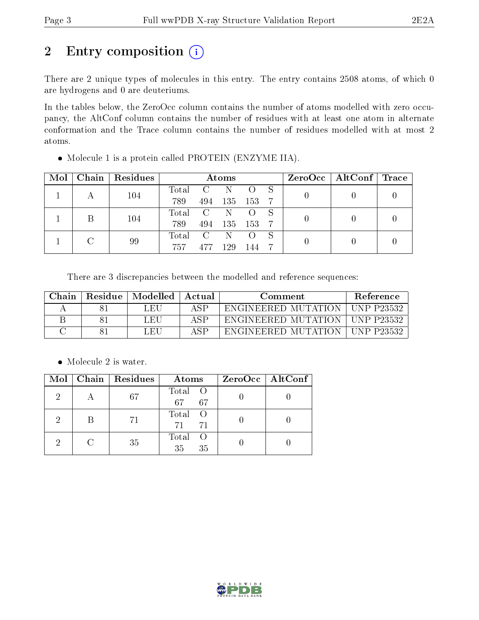# 2 Entry composition (i)

There are 2 unique types of molecules in this entry. The entry contains 2508 atoms, of which 0 are hydrogens and 0 are deuteriums.

In the tables below, the ZeroOcc column contains the number of atoms modelled with zero occupancy, the AltConf column contains the number of residues with at least one atom in alternate conformation and the Trace column contains the number of residues modelled with at most 2 atoms.

| Mol |    | Chain   Residues | Atoms   |                |         |                  |  | ZeroOcc   AltConf   Trace |  |
|-----|----|------------------|---------|----------------|---------|------------------|--|---------------------------|--|
|     |    | 104              | Total   | $-C$           | -N      |                  |  |                           |  |
|     |    |                  | 789     | 494            | 135 153 |                  |  |                           |  |
|     |    |                  | Total C |                | -N-     | $\left( \right)$ |  |                           |  |
|     |    | 104              | 789     | 494            | 135 153 |                  |  |                           |  |
|     |    |                  | Total   | $\overline{C}$ | N.      | $\left( \right)$ |  |                           |  |
|     | 99 | 757              | 477     | 129            | 144     |                  |  |                           |  |

• Molecule 1 is a protein called PROTEIN (ENZYME IIA).

There are 3 discrepancies between the modelled and reference sequences:

| Chain | Residue | $\mid$ Modelled | Actual      | Comment             | <b>Reference</b>   |
|-------|---------|-----------------|-------------|---------------------|--------------------|
|       |         | LEU             | A SP        | ENGINEERED MUTATION | . UNP P23532       |
|       |         | LEU             | $\Delta$ SP | ENGINEERED MUTATION | ∟UNP P23532 -      |
|       |         | LEU             | A SE        | ENGINEERED MUTATION | <b>TINP P23532</b> |

• Molecule 2 is water.

| Mol | Chain   Residues | Atoms               | ZeroOcc   AltConf |
|-----|------------------|---------------------|-------------------|
| 2   | 67               | Total O<br>67<br>67 |                   |
| 2   | -71              | Total<br>71<br>71   |                   |
| 2   | 35               | Total<br>35<br>35   |                   |

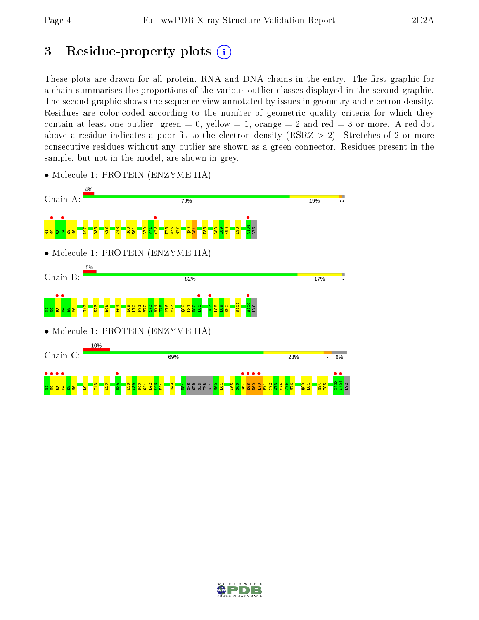# 3 Residue-property plots  $(i)$

These plots are drawn for all protein, RNA and DNA chains in the entry. The first graphic for a chain summarises the proportions of the various outlier classes displayed in the second graphic. The second graphic shows the sequence view annotated by issues in geometry and electron density. Residues are color-coded according to the number of geometric quality criteria for which they contain at least one outlier: green  $= 0$ , yellow  $= 1$ , orange  $= 2$  and red  $= 3$  or more. A red dot above a residue indicates a poor fit to the electron density (RSRZ  $> 2$ ). Stretches of 2 or more consecutive residues without any outlier are shown as a green connector. Residues present in the sample, but not in the model, are shown in grey.



• Molecule 1: PROTEIN (ENZYME IIA)

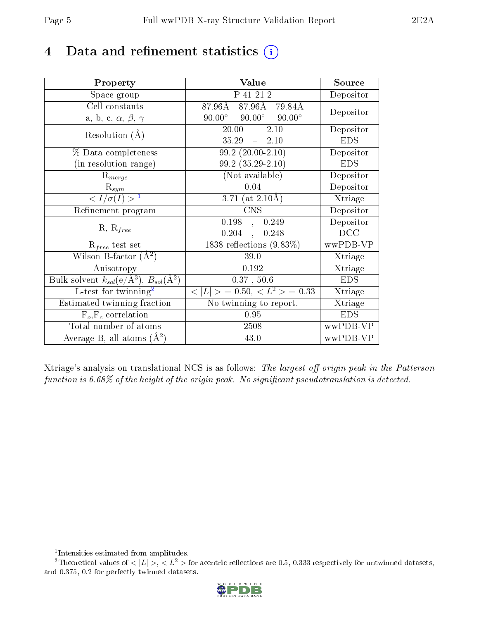# 4 Data and refinement statistics  $(i)$

| Property                                                         | Value                                             | Source     |
|------------------------------------------------------------------|---------------------------------------------------|------------|
| Space group                                                      | P 41 21 2                                         | Depositor  |
| Cell constants                                                   | 87.96Å 79.84Å<br>$87.96\text{\AA}$                | Depositor  |
| a, b, c, $\alpha$ , $\beta$ , $\gamma$                           | $90.00^\circ$<br>$90.00^\circ$<br>$90.00^{\circ}$ |            |
| Resolution $(A)$                                                 | 20.00<br>$-2.10$                                  | Depositor  |
|                                                                  | 35.29<br>$-2.10$                                  | <b>EDS</b> |
| % Data completeness                                              | $\overline{99.2}$ (20.00-2.10)                    | Depositor  |
| (in resolution range)                                            | $99.2(35.29-2.10)$                                | <b>EDS</b> |
| $R_{merge}$                                                      | (Not available)                                   | Depositor  |
| $\mathrm{R}_{sym}$                                               | 0.04                                              | Depositor  |
| $\langle I/\sigma(I) \rangle^{-1}$                               | 3.71 (at $2.10\text{\AA}$ )                       | Xtriage    |
| Refinement program                                               | <b>CNS</b>                                        | Depositor  |
| $R, R_{free}$                                                    | 0.198,<br>0.249                                   | Depositor  |
|                                                                  | 0.204,<br>0.248                                   | DCC        |
| $R_{free}$ test set                                              | $1838$ reflections $(9.83\%)$                     | wwPDB-VP   |
| Wilson B-factor $(A^2)$                                          | 39.0                                              | Xtriage    |
| Anisotropy                                                       | 0.192                                             | Xtriage    |
| Bulk solvent $k_{sol}(\text{e}/\text{A}^3), B_{sol}(\text{A}^2)$ | 0.37, 50.6                                        | <b>EDS</b> |
| L-test for twinning <sup>2</sup>                                 | $< L >$ = 0.50, $< L2$ > = 0.33                   | Xtriage    |
| Estimated twinning fraction                                      | $\overline{\text{No}}$ twinning to report.        | Xtriage    |
| $F_o, F_c$ correlation                                           | 0.95                                              | <b>EDS</b> |
| Total number of atoms                                            | 2508                                              | wwPDB-VP   |
| Average B, all atoms $(A^2)$                                     | 43.0                                              | wwPDB-VP   |

Xtriage's analysis on translational NCS is as follows: The largest off-origin peak in the Patterson function is  $6.68\%$  of the height of the origin peak. No significant pseudotranslation is detected.

<sup>&</sup>lt;sup>2</sup>Theoretical values of  $\langle |L| \rangle$ ,  $\langle L^2 \rangle$  for acentric reflections are 0.5, 0.333 respectively for untwinned datasets, and 0.375, 0.2 for perfectly twinned datasets.



<span id="page-4-1"></span><span id="page-4-0"></span><sup>1</sup> Intensities estimated from amplitudes.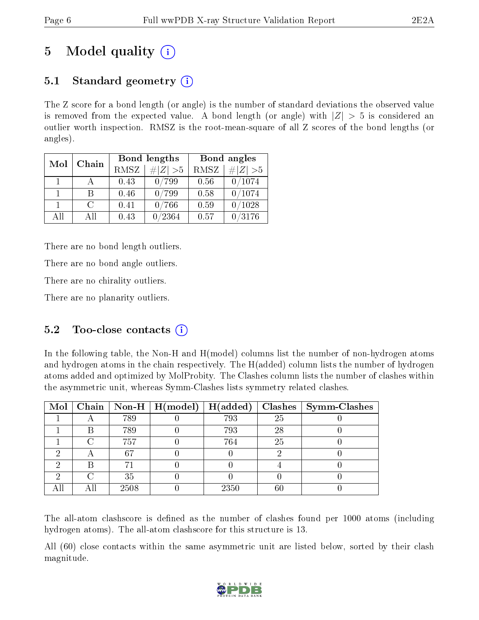# 5 Model quality  $(i)$

## 5.1 Standard geometry  $(i)$

The Z score for a bond length (or angle) is the number of standard deviations the observed value is removed from the expected value. A bond length (or angle) with  $|Z| > 5$  is considered an outlier worth inspection. RMSZ is the root-mean-square of all Z scores of the bond lengths (or angles).

| Mol | Chain         |      | Bond lengths  | Bond angles |           |
|-----|---------------|------|---------------|-------------|-----------|
|     |               | RMSZ | $\# Z  > 5$   | RMSZ        | # $ Z >5$ |
| 1.  |               | 0.43 | 0/799         | 0.56        | 0/1074    |
| 1   | В             | 0.46 | /799          | 0.58        | 0/1074    |
| 1.  | $\mathcal{C}$ | 0.41 | 0/766         | 0.59        | 0/1028    |
| AĦ  | All           | 0.43 | $^\prime2364$ | 0.57        | /3176     |

There are no bond length outliers.

There are no bond angle outliers.

There are no chirality outliers.

There are no planarity outliers.

### 5.2 Too-close contacts (i)

In the following table, the Non-H and H(model) columns list the number of non-hydrogen atoms and hydrogen atoms in the chain respectively. The H(added) column lists the number of hydrogen atoms added and optimized by MolProbity. The Clashes column lists the number of clashes within the asymmetric unit, whereas Symm-Clashes lists symmetry related clashes.

|   |      | Mol   Chain   Non-H   $H (model)$ | H(added) |    | Clashes   Symm-Clashes |
|---|------|-----------------------------------|----------|----|------------------------|
|   | 789  |                                   | 793      | 25 |                        |
| В | 789  |                                   | 793      | 28 |                        |
|   | 757  |                                   | 764      | 25 |                        |
|   | 67   |                                   |          |    |                        |
| R |      |                                   |          |    |                        |
|   | 35   |                                   |          |    |                        |
|   | 2508 |                                   | 2350     | 60 |                        |

The all-atom clashscore is defined as the number of clashes found per 1000 atoms (including hydrogen atoms). The all-atom clashscore for this structure is 13.

All (60) close contacts within the same asymmetric unit are listed below, sorted by their clash magnitude.

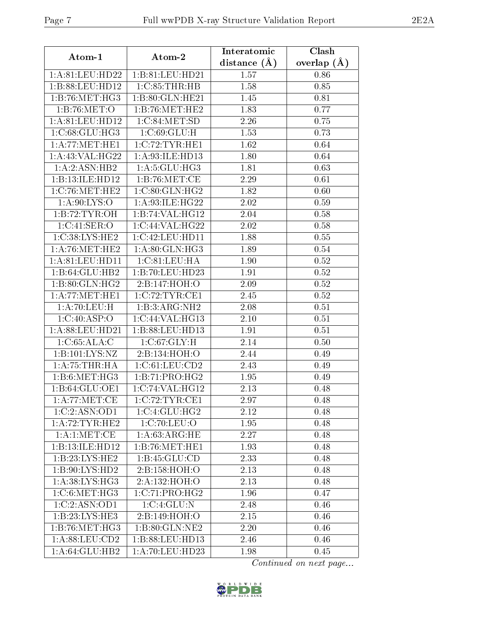| Atom-1                           | $\boldsymbol{\mathrm{Atom}\text{-}2}$ | Interatomic    | Clash         |
|----------------------------------|---------------------------------------|----------------|---------------|
|                                  |                                       | distance $(A)$ | overlap $(A)$ |
| 1:A:81:LEU:HD22                  | 1:B:81:LEU:HD21                       | 1.57           | 0.86          |
| 1:B:88:LEU:HD12                  | 1: C:85: THR:HB                       | 1.58           | 0.85          |
| 1: B:76: MET:HG3                 | 1:B:80:GLN:HE21                       | 1.45           | 0.81          |
| 1:B:76:MET:O                     | 1:B:76:MET:HE2                        | 1.83           | 0.77          |
| 1: A:81:LEU:HD12                 | 1:C:84:MET:SD                         | 2.26           | 0.75          |
| 1:C:68:GLU:HG3                   | 1:C:69:GLU:H                          | 1.53           | 0.73          |
| 1: A:77: MET:HE1                 | 1:C:72:TYR:HE1                        | 1.62           | 0.64          |
| 1: A:43: VAL:HG22                | 1:A:93:ILE:HD13                       | 1.80           | 0.64          |
| $1:A:2:ASN:H\overline{B2}$       | 1: A:5: GLU: HG3                      | 1.81           | 0.63          |
| 1:B:13:ILE:HDI2                  | 1: B:76: MET:CE                       | 2.29           | 0.61          |
| 1:C:76:MET:HE2                   | 1:C:80:GLN:HG2                        | 1.82           | 0.60          |
| 1: A:90: LYS:O                   | 1:A:93:ILE:HG22                       | 2.02           | 0.59          |
| 1:B:72:TYR:OH                    | 1:B:74:VAL:HG12                       | 2.04           | 0.58          |
| 1:C:41:SER:O                     | 1:C:44:VAL:HG22                       | 2.02           | 0.58          |
| 1:C:38:LYS:HE2                   | 1:C:42:LEU:HD11                       | 1.88           | 0.55          |
| 1: A:76:MET:HE2                  | 1:A:80:GLN:HG3                        | 1.89           | 0.54          |
| 1: A:81: LEU: HD11               | 1:C:81:LEU:HA                         | 1.90           | 0.52          |
| 1:B:64:GLU:HB2                   | 1:B:70:LEU:HD23                       | 1.91           | 0.52          |
| 1: B:80: GLN: HG2                | 2:B:147:HOH:O                         | 2.09           | $0.52\,$      |
| 1: A:77: MET:HE1                 | 1:C:72:TYR:CE1                        | 2.45           | 0.52          |
| $1:A:70:LEU:\overline{H}$        | 1:B:3:ARG:NH2                         | 2.08           | 0.51          |
| 1:C:40:ASP:O                     | 1:C:44:VAL:HG13                       | 2.10           | 0.51          |
| 1:A:88:LEU:HD21                  | 1:B:88:LEU:HD13                       | 1.91           | 0.51          |
| 1:C:65:ALA:C                     | 1:C:67:GLY:H                          | 2.14           | 0.50          |
| 1:B:101:LYS:NZ                   | 2:B:134:HOH:O                         | 2.44           | 0.49          |
| 1:A:75:THR:HA                    | 1:C:61:LEU:CD2                        | 2.43           | 0.49          |
| 1:B:6:MET:HG3                    | 1:B:71:PRO:HG2                        | 1.95           | 0.49          |
| 1: B:64: GLU:OE1                 | 1:C:74:VAL:HG12                       | 2.13           | 0.48          |
| 1: A:77: MET:CE                  | 1:C:72:TYR:CE1                        | 2.97           | 0.48          |
| 1:C:2:ASN:OD1                    | 1:C:4:GLU:HG2                         | 2.12           | 0.48          |
| 1: A:72:TYR:HE2                  | 1:C:70:LEU:O                          | 1.95           | 0.48          |
| $1:A:1:\overline{\text{MET:CE}}$ | 1: A:63:ARG:HE                        | 2.27           | 0.48          |
| 1:B:13:ILE:HD12                  | $1:B:76:MET:H\overline{E1}$           | 1.93           | 0.48          |
| 1:B:23:LYS:HE2                   | 1: B: 45: GLU: CD                     | 2.33           | 0.48          |
| 1:B:90:LYS:HD2                   | 2:B:158:HOH:O                         | 2.13           | 0.48          |
| 1:A:38:LYS:HG3                   | 2:A:132:HOH:O                         | 2.13           | 0.48          |
| 1: C:6: MET:HG3                  | 1:C:71:PRO:HG2                        | 1.96           | 0.47          |
| 1:C:2:ASN:OD1                    | 1:C:4:GLU:N                           | 2.48           | 0.46          |
| 1:B:23:LYS:HE3                   | 2:B:149:HOH:O                         | 2.15           | 0.46          |
| 1:B:76:MET:HG3                   | 1:B:80:GLN:NE2                        | 2.20           | 0.46          |
| 1: A:88: LEU:CD2                 | 1:B:88:LEU:HD13                       | 2.46           | 0.46          |
| 1: A:64: GLU:HB2                 | 1: A:70: LEU: HD23                    | 1.98           | 0.45          |

Continued on next page...

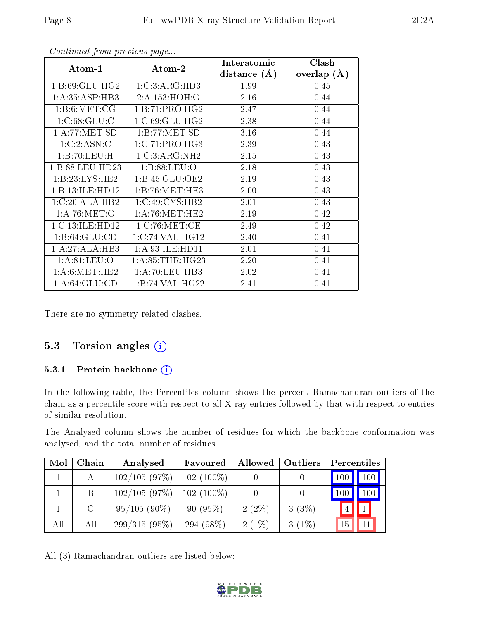|                   |                    | Interatomic    | Clash         |
|-------------------|--------------------|----------------|---------------|
| Atom-1            | Atom-2             | distance $(A)$ | overlap $(A)$ |
| 1: B:69: GLU: HG2 | 1:C:3:ARG:HD3      | 1.99           | 0.45          |
| 1: A:35:ASP:HB3   | 2:A:153:HOH:O      | 2.16           | 0.44          |
| 1: B:6: MET:CG    | 1:B:71:PRO:HG2     | 2.47           | 0.44          |
| 1:C:68:GLU:C      | 1:C:69:GLU:HG2     | 2.38           | 0.44          |
| 1:A:77:MET:SD     | 1:B:77:MET:SD      | 3.16           | 0.44          |
| 1:C:2:ASN:C       | 1:C:71:PRO:HG3     | 2.39           | 0.43          |
| 1:B:70:LEU:H      | 1:C:3:ARG:NH2      | 2.15           | 0.43          |
| 1:B:88:LEU:HD23   | 1:B:88:LEU:O       | 2.18           | 0.43          |
| 1:B:23:LYS:HE2    | 1: B: 45: GLU: OE2 | 2.19           | 0.43          |
| 1:B:13:ILE:HD12   | 1:B:76:MET:HE3     | 2.00           | 0.43          |
| 1:C:20:ALA:HB2    | 1:C:49:CYS:HB2     | 2.01           | 0.43          |
| 1: A:76: MET:O    | 1: A:76:MET:HE2    | 2.19           | 0.42          |
| 1:C:13:ILE:HD12   | 1:C:76:MET:CE      | 2.49           | 0.42          |
| 1:B:64:GLU:CD     | 1:C:74:VAL:HG12    | 2.40           | 0.41          |
| 1:A:27:ALA:HB3    | 1: A:93: ILE: HD11 | 2.01           | 0.41          |
| 1: A:81:LEU:O     | 1: A:85:THR:HG23   | 2.20           | 0.41          |
| 1: A:6: MET:HE2   | 1:A:70:LEU:HB3     | 2.02           | 0.41          |
| 1: A:64: GLU:CD   | 1:B:74:VAL:HG22    | 2.41           | 0.41          |

Continued from previous page...

There are no symmetry-related clashes.

### 5.3 Torsion angles  $(i)$

#### 5.3.1 Protein backbone (i)

In the following table, the Percentiles column shows the percent Ramachandran outliers of the chain as a percentile score with respect to all X-ray entries followed by that with respect to entries of similar resolution.

The Analysed column shows the number of residues for which the backbone conformation was analysed, and the total number of residues.

| Mol | Chain   | Analysed        | Favoured     | Allowed  | <b>Outliers</b> | Percentiles           |
|-----|---------|-----------------|--------------|----------|-----------------|-----------------------|
|     | А       | 102/105(97%)    | $102(100\%)$ |          |                 | $100$   $100$         |
|     | B       | 102/105(97%)    | $102(100\%)$ |          |                 | 1100                  |
|     | $\rm C$ | $95/105(90\%)$  | 90(95%)      | $2(2\%)$ | 3(3%)           | $\vert 1 \vert$<br> 4 |
| All | All     | $299/315(95\%)$ | 294 $(98\%)$ | $2(1\%)$ | $3(1\%)$        | 11<br>15              |

All (3) Ramachandran outliers are listed below:

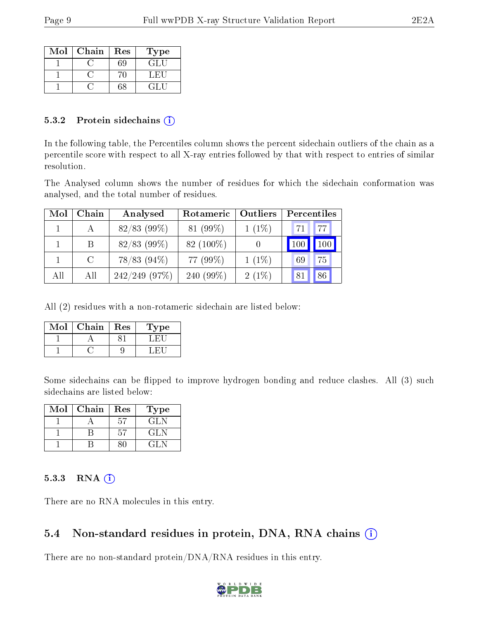| Mol | Chain | Res | Type   |
|-----|-------|-----|--------|
|     |       | 59  | GLU    |
|     |       |     | L. HIL |
|     |       | 68  | CL H   |

#### 5.3.2 Protein sidechains  $(i)$

In the following table, the Percentiles column shows the percent sidechain outliers of the chain as a percentile score with respect to all X-ray entries followed by that with respect to entries of similar resolution.

The Analysed column shows the number of residues for which the sidechain conformation was analysed, and the total number of residues.

| Mol | Chain | Analysed         | Rotameric    | Outliers | <b>Percentiles</b> |     |
|-----|-------|------------------|--------------|----------|--------------------|-----|
|     |       | $82/83$ (99%)    | 81 (99%)     | $1(1\%)$ | 471                | 77  |
|     | В     | $82/83$ (99%)    | 82 $(100\%)$ |          | 100                | 100 |
|     | C     | 78/83 (94%)      | 77 (99%)     | $1(1\%)$ | 69                 | 75  |
| All | All   | $242/249$ (97\%) | 240 $(99\%)$ | $2(1\%)$ | 81                 | 86  |

All (2) residues with a non-rotameric sidechain are listed below:

| Mol | ${\rm Chain}$ | Res | Type |
|-----|---------------|-----|------|
|     |               |     |      |
|     |               |     |      |

Some sidechains can be flipped to improve hydrogen bonding and reduce clashes. All (3) such sidechains are listed below:

| Mol | Chain | Res | Type |
|-----|-------|-----|------|
|     |       | 57  | GLN  |
|     |       | 57  | GL N |
|     |       |     |      |

#### 5.3.3 RNA (i)

There are no RNA molecules in this entry.

### 5.4 Non-standard residues in protein, DNA, RNA chains (i)

There are no non-standard protein/DNA/RNA residues in this entry.

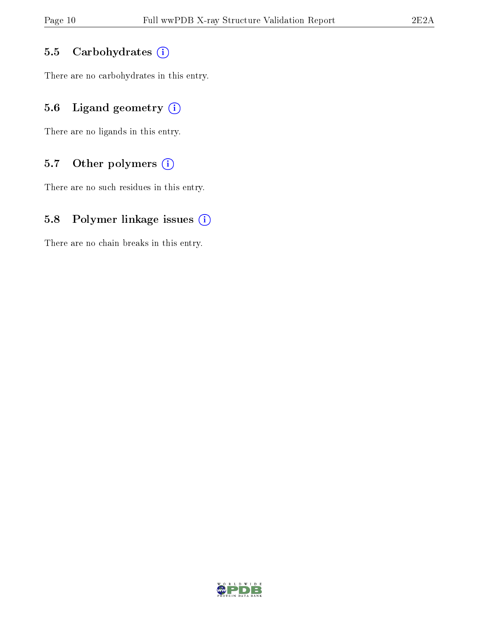#### 5.5 Carbohydrates (i)

There are no carbohydrates in this entry.

### 5.6 Ligand geometry  $(i)$

There are no ligands in this entry.

### 5.7 [O](https://www.wwpdb.org/validation/2017/XrayValidationReportHelp#nonstandard_residues_and_ligands)ther polymers  $(i)$

There are no such residues in this entry.

### 5.8 Polymer linkage issues  $(i)$

There are no chain breaks in this entry.

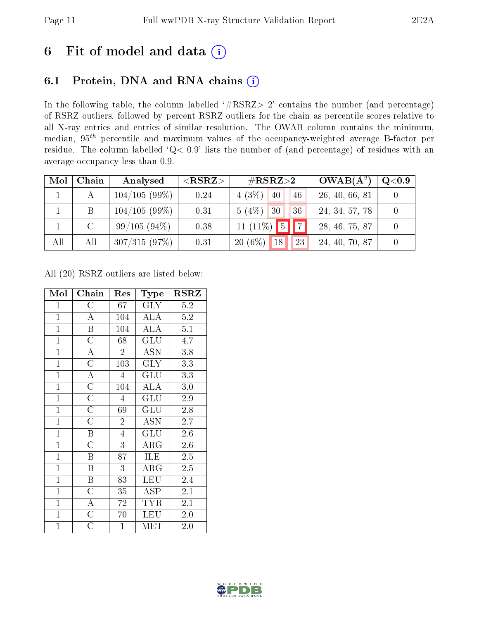# 6 Fit of model and data  $(i)$

### 6.1 Protein, DNA and RNA chains  $(i)$

In the following table, the column labelled  $#RSRZ> 2'$  contains the number (and percentage) of RSRZ outliers, followed by percent RSRZ outliers for the chain as percentile scores relative to all X-ray entries and entries of similar resolution. The OWAB column contains the minimum, median,  $95<sup>th</sup>$  percentile and maximum values of the occupancy-weighted average B-factor per residue. The column labelled ' $Q< 0.9$ ' lists the number of (and percentage) of residues with an average occupancy less than 0.9.

| Mol | Chain         | Analysed     | ${ <\hspace{-1.5pt}{\mathrm{RSRZ}} \hspace{-1.5pt}>}$ | $\#\text{RSRZ}{>}2$                | $OWAB(A^2)$    | Q <sub>0.9</sub> |
|-----|---------------|--------------|-------------------------------------------------------|------------------------------------|----------------|------------------|
|     |               | 104/105(99%) | 0.24                                                  | $4(3\%)$ 40<br>46                  | 26, 40, 66, 81 |                  |
|     | B.            | 104/105(99%) | 0.31                                                  | $5(4\%)$ 30<br>36                  | 24, 34, 57, 78 |                  |
|     | $\mathcal{C}$ | 99/105(94%)  | 0.38                                                  | $11 (11\%)$ 5 7                    | 28, 46, 75, 87 |                  |
| All | All           | 307/315(97%) | 0.31                                                  | $20(6\%)$<br>23<br>18 <sup>1</sup> | 24, 40, 70, 87 |                  |

All (20) RSRZ outliers are listed below:

| Mol            | Chain                   | Res              | Type                   | <b>RSRZ</b>      |
|----------------|-------------------------|------------------|------------------------|------------------|
| $\mathbf{1}$   | $\mathcal C$            | 67               | <b>GLY</b>             | 5.2              |
| $\overline{1}$ | $\overline{\rm A}$      | 104              | <b>ALA</b>             | $5.2\,$          |
| $\overline{1}$ | $\overline{\mathrm{B}}$ | 104              | <b>ALA</b>             | 5.1              |
| $\overline{1}$ | $\overline{\text{C}}$   | 68               | $\overline{{\rm GLU}}$ | 4.7              |
| $\overline{1}$ | $\overline{\rm A}$      | $\overline{2}$   | <b>ASN</b>             | 3.8              |
| $\overline{1}$ | $\overline{\rm C}$      | $\overline{103}$ | $\rm{GLY}$             | $\overline{3.3}$ |
| $\overline{1}$ | $\overline{\rm A}$      | $\overline{4}$   | GLU                    | 3.3              |
| $\overline{1}$ | $\overline{\rm C}$      | 104              | <b>ALA</b>             | 3.0              |
| $\mathbf{1}$   | $\overline{\rm C}$      | $\overline{4}$   | GLU                    | 2.9              |
| $\mathbf{1}$   | $\overline{\rm C}$      | 69               | GLU                    | 2.8              |
| $\overline{1}$ | $\overline{\rm C}$      | $\overline{2}$   | <b>ASN</b>             | 2.7              |
| $\overline{1}$ | $\boldsymbol{B}$        | $\overline{4}$   | GLU                    | 2.6              |
| $\overline{1}$ | $\overline{\rm C}$      | $\overline{3}$   | ARG                    | 2.6              |
| $\overline{1}$ | $\overline{\mathbf{B}}$ | 87               | ILE                    | 2.5              |
| $\mathbf{1}$   | B                       | 3                | $\rm{ARG}$             | 2.5              |
| $\overline{1}$ | $\overline{\mathrm{B}}$ | 83               | <b>LEU</b>             | 2.4              |
| $\overline{1}$ | $\mathcal{C}$           | 35               | <b>ASP</b>             | 2.1              |
| $\overline{1}$ | $\overline{\rm A}$      | $72\,$           | <b>TYR</b>             | 2.1              |
| $\mathbf{1}$   | $\overline{\rm C}$      | 70               | <b>LEU</b>             | 2.0              |
| $\overline{1}$ | Ć                       | $\mathbf{1}$     | MET                    | 2.0              |